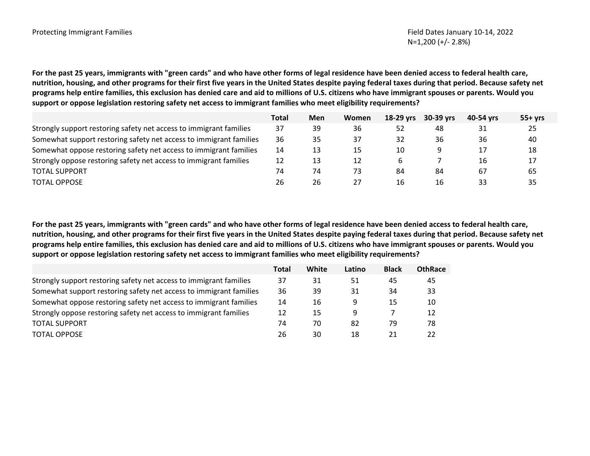**For the past 25 years, immigrants with "green cards" and who have other forms of legal residence have been denied access to federal health care, nutrition, housing, and other programs for their first five years in the United States despite paying federal taxes during that period. Because safety net programs help entire families, this exclusion has denied care and aid to millions of U.S. citizens who have immigrant spouses or parents. Would you support or oppose legislation restoring safety net access to immigrant families who meet eligibility requirements?** 

|                                                                    | <b>Total</b> | Men | Women | 18-29 yrs | 30-39 yrs | 40-54 vrs | $55+yrs$ |
|--------------------------------------------------------------------|--------------|-----|-------|-----------|-----------|-----------|----------|
| Strongly support restoring safety net access to immigrant families | 37           | 39  | 36    | 52        | 48        | 31        | 25       |
| Somewhat support restoring safety net access to immigrant families | 36           | 35  | 37    | 32        | 36        | 36        | 40       |
| Somewhat oppose restoring safety net access to immigrant families  | 14           | 13  | 15    | 10        |           |           | 18       |
| Strongly oppose restoring safety net access to immigrant families  | 12           | 13  | 12    |           |           | 16        | 17       |
| <b>TOTAL SUPPORT</b>                                               | 74           | 74  | 73    | 84        | 84        | 67        | 65       |
| <b>TOTAL OPPOSE</b>                                                | 26           | 26  |       | 16        | 16        | 33        | 35       |

**For the past 25 years, immigrants with "green cards" and who have other forms of legal residence have been denied access to federal health care, nutrition, housing, and other programs for their first five years in the United States despite paying federal taxes during that period. Because safety net programs help entire families, this exclusion has denied care and aid to millions of U.S. citizens who have immigrant spouses or parents. Would you support or oppose legislation restoring safety net access to immigrant families who meet eligibility requirements?** 

|                                                                    | Total | White | Latino | <b>Black</b> | <b>OthRace</b> |
|--------------------------------------------------------------------|-------|-------|--------|--------------|----------------|
| Strongly support restoring safety net access to immigrant families | 37    | 31    | 51     | 45           | 45             |
| Somewhat support restoring safety net access to immigrant families | 36    | 39    | 31     | 34           | 33             |
| Somewhat oppose restoring safety net access to immigrant families  | 14    | 16    | 9      | 15           | 10             |
| Strongly oppose restoring safety net access to immigrant families  | 12    | 15    | 9      |              | 12             |
| <b>TOTAL SUPPORT</b>                                               | 74    | 70    | 82     | 79           | 78             |
| <b>TOTAL OPPOSE</b>                                                | 26    | 30    | 18     | 21           |                |